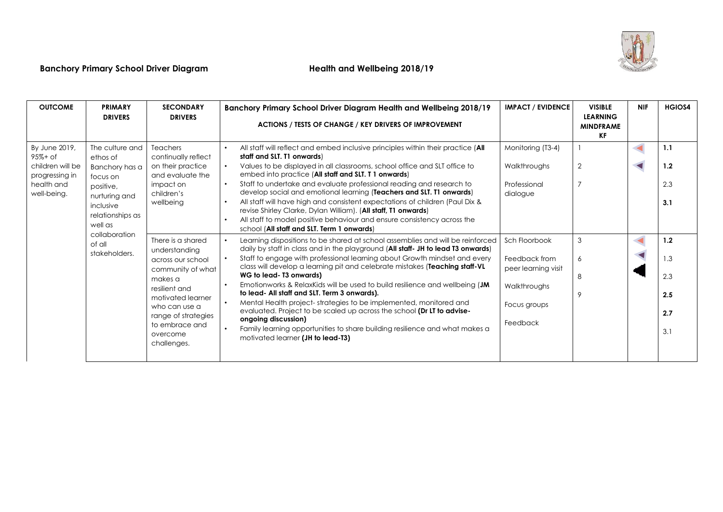

# **Banchory Primary School Driver Diagram Health and Wellbeing 2018/19**

| <b>OUTCOME</b>                                                                                 | <b>PRIMARY</b><br><b>DRIVERS</b>                                                                                                                                                | <b>SECONDARY</b><br><b>DRIVERS</b>                                                                                                                                                                                                                                                                                                            | Banchory Primary School Driver Diagram Health and Wellbeing 2018/19<br>ACTIONS / TESTS OF CHANGE / KEY DRIVERS OF IMPROVEMENT                                                                                                                                                                                                                                                                                                                                                                                                                                                                                                                                                                                                                                                                                                                                                                                                                                                                                                                                                                                                                                                                                                                                                                                                                                                                                                                                                                                            | <b>IMPACT / EVIDENCE</b>                                                                                                                                           | <b>VISIBLE</b><br><b>LEARNING</b><br><b>MINDFRAME</b><br>KF | <b>NIF</b> | <b>HGIOS4</b>                                                      |
|------------------------------------------------------------------------------------------------|---------------------------------------------------------------------------------------------------------------------------------------------------------------------------------|-----------------------------------------------------------------------------------------------------------------------------------------------------------------------------------------------------------------------------------------------------------------------------------------------------------------------------------------------|--------------------------------------------------------------------------------------------------------------------------------------------------------------------------------------------------------------------------------------------------------------------------------------------------------------------------------------------------------------------------------------------------------------------------------------------------------------------------------------------------------------------------------------------------------------------------------------------------------------------------------------------------------------------------------------------------------------------------------------------------------------------------------------------------------------------------------------------------------------------------------------------------------------------------------------------------------------------------------------------------------------------------------------------------------------------------------------------------------------------------------------------------------------------------------------------------------------------------------------------------------------------------------------------------------------------------------------------------------------------------------------------------------------------------------------------------------------------------------------------------------------------------|--------------------------------------------------------------------------------------------------------------------------------------------------------------------|-------------------------------------------------------------|------------|--------------------------------------------------------------------|
| By June 2019,<br>$95% + of$<br>children will be<br>progressing in<br>health and<br>well-being. | The culture and<br>ethos of<br>Banchory has a<br>focus on<br>positive,<br>nurturing and<br>inclusive<br>relationships as<br>well as<br>collaboration<br>of all<br>stakeholders. | <b>Teachers</b><br>continually reflect<br>on their practice<br>and evaluate the<br>impact on<br>children's<br>wellbeing<br>There is a shared<br>understanding<br>across our school<br>community of what<br>makes a<br>resilient and<br>motivated learner<br>who can use a<br>range of strategies<br>to embrace and<br>overcome<br>challenges. | All staff will reflect and embed inclusive principles within their practice (All<br>$\bullet$<br>staff and SLT. T1 onwards)<br>Values to be displayed in all classrooms, school office and SLT office to<br>$\bullet$<br>embed into practice (All staff and SLT. T 1 onwards)<br>Staff to undertake and evaluate professional reading and research to<br>$\bullet$<br>develop social and emotional learning (Teachers and SLT. T1 onwards)<br>All staff will have high and consistent expectations of children (Paul Dix &<br>revise Shirley Clarke, Dylan William). (All staff, T1 onwards)<br>All staff to model positive behaviour and ensure consistency across the<br>school (All staff and SLT. Term 1 onwards)<br>Learning dispositions to be shared at school assemblies and will be reinforced<br>daily by staff in class and in the playground (All staff- JH to lead T3 onwards)<br>Staff to engage with professional learning about Growth mindset and every<br>class will develop a learning pit and celebrate mistakes (Teaching staff-VL<br>WG to lead- T3 onwards)<br>Emotionworks & RelaxKids will be used to build resilience and wellbeing (JM<br>to lead- All staff and SLT. Term 3 onwards).<br>Mental Health project-strategies to be implemented, monitored and<br>$\bullet$<br>evaluated. Project to be scaled up across the school (Dr LT to advise-<br>ongoing discussion)<br>Family learning opportunities to share building resilience and what makes a<br>motivated learner (JH to lead-T3) | Monitoring (T3-4)<br>Walkthroughs<br>Professional<br>dialogue<br>Sch Floorbook<br>Feedback from<br>peer learning visit<br>Walkthroughs<br>Focus groups<br>Feedback | $\overline{2}$<br>3<br>6<br>8<br>9                          |            | 1.1<br>1.2<br>2.3<br>3.1<br>1.2<br>1.3<br>2.3<br>2.5<br>2.7<br>3.1 |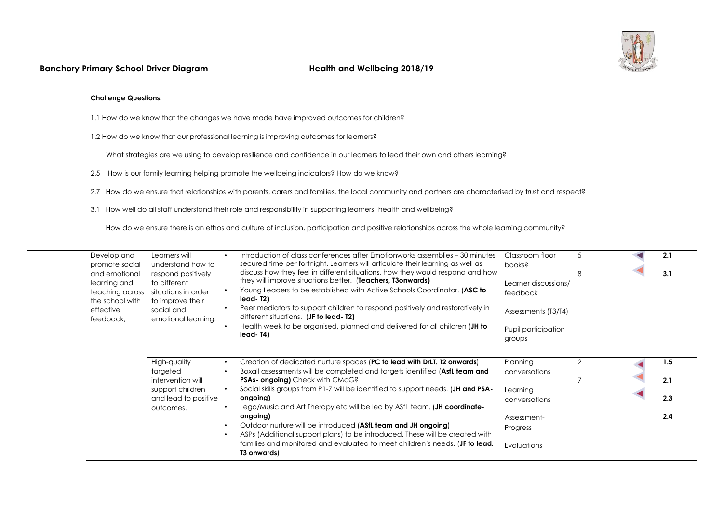

### **Challenge Questions:**

1.1 How do we know that the changes we have made have improved outcomes for children?

1.2 How do we know that our professional learning is improving outcomes for learners?

What strategies are we using to develop resilience and confidence in our learners to lead their own and others learning?

2.5 How is our family learning helping promote the wellbeing indicators? How do we know?

2.7 How do we ensure that relationships with parents, carers and families, the local community and partners are characterised by trust and respect?

3.1 How well do all staff understand their role and responsibility in supporting learners' health and wellbeing?

How do we ensure there is an ethos and culture of inclusion, participation and positive relationships across the whole learning community?

| learning and<br>effective<br>feedback, | Develop and<br>Learners will<br>understand how to<br>promote social<br>respond positively<br>and emotional<br>to different<br>teaching across<br>situations in order<br>the school with<br>to improve their<br>social and<br>emotional learning. | $\bullet$<br>$\bullet$<br>$\bullet$<br>$\bullet$                           | Introduction of class conferences after Emotionworks assemblies - 30 minutes<br>secured time per fortnight. Learners will articulate their learning as well as<br>discuss how they feel in different situations, how they would respond and how<br>they will improve situations better. (Teachers, T3onwards)<br>Young Leaders to be established with Active Schools Coordinator. (ASC to<br>lead-T2)<br>Peer mediators to support children to respond positively and restoratively in<br>different situations. (JF to lead-T2)<br>Health week to be organised, planned and delivered for all children (JH to<br>lead-T4)       | Classroom floor<br>pooks?<br>Learner discussions/<br>feedback<br>Assessments (T3/T4)<br>Pupil participation<br>groups | 5              | 2.1<br>3.1               |
|----------------------------------------|--------------------------------------------------------------------------------------------------------------------------------------------------------------------------------------------------------------------------------------------------|----------------------------------------------------------------------------|---------------------------------------------------------------------------------------------------------------------------------------------------------------------------------------------------------------------------------------------------------------------------------------------------------------------------------------------------------------------------------------------------------------------------------------------------------------------------------------------------------------------------------------------------------------------------------------------------------------------------------|-----------------------------------------------------------------------------------------------------------------------|----------------|--------------------------|
|                                        | High-quality<br>targeted<br>intervention will<br>support children<br>and lead to positive<br>outcomes.                                                                                                                                           | $\bullet$<br>$\bullet$<br>$\bullet$<br>$\bullet$<br>$\bullet$<br>$\bullet$ | Creation of dedicated nurture spaces (PC to lead with DrLT. T2 onwards)<br>Boxall assessments will be completed and targets identified (AsfL team and<br>PSAs- ongoing) Check with CMcG?<br>Social skills groups from P1-7 will be identified to support needs. (JH and PSA-<br>ongoing)<br>Lego/Music and Art Therapy etc will be led by ASfL team. (JH coordinate-<br>ongoing)<br>Outdoor nurture will be introduced (ASfL team and JH ongoing)<br>ASPs (Additional support plans) to be introduced. These will be created with<br>families and monitored and evaluated to meet children's needs. (JF to lead.<br>T3 onwards) | Planning<br>conversations<br>Learning<br>conversations<br>Assessment-<br>Progress<br>Evaluations                      | $\overline{2}$ | 1.5<br>2.1<br>2.3<br>2.4 |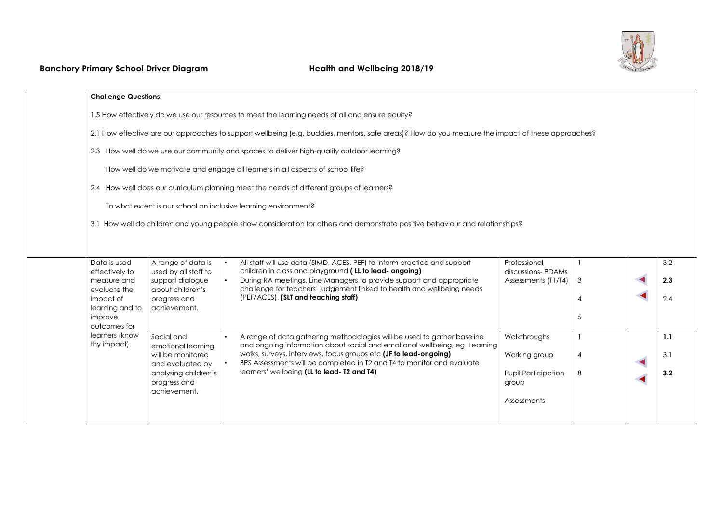

|                                                                                                  | <b>Challenge Questions:</b>                |                                                                                                                                                                    |                                     |                |  |                   |  |
|--------------------------------------------------------------------------------------------------|--------------------------------------------|--------------------------------------------------------------------------------------------------------------------------------------------------------------------|-------------------------------------|----------------|--|-------------------|--|
| 1.5 How effectively do we use our resources to meet the learning needs of all and ensure equity? |                                            |                                                                                                                                                                    |                                     |                |  |                   |  |
|                                                                                                  |                                            | 2.1 How effective are our approaches to support wellbeing (e.g. buddies, mentors, safe areas)? How do you measure the impact of these approaches?                  |                                     |                |  |                   |  |
| 2.3 How well do we use our community and spaces to deliver high-quality outdoor learning?        |                                            |                                                                                                                                                                    |                                     |                |  |                   |  |
| How well do we motivate and engage all learners in all aspects of school life?                   |                                            |                                                                                                                                                                    |                                     |                |  |                   |  |
| 2.4 How well does our curriculum planning meet the needs of different groups of learners?        |                                            |                                                                                                                                                                    |                                     |                |  |                   |  |
|                                                                                                  |                                            | To what extent is our school an inclusive learning environment?                                                                                                    |                                     |                |  |                   |  |
|                                                                                                  |                                            | 3.1 How well do children and young people show consideration for others and demonstrate positive behaviour and relationships?                                      |                                     |                |  |                   |  |
|                                                                                                  |                                            |                                                                                                                                                                    |                                     |                |  |                   |  |
| Data is used<br>effectively to                                                                   | A range of data is<br>used by all staff to | All staff will use data (SIMD, ACES, PEF) to inform practice and support<br>$\bullet$<br>children in class and playground (LL to lead-ongoing)                     | Professional<br>discussions-PDAMs   |                |  | 3.2               |  |
| measure and<br>evaluate the                                                                      | support dialogue<br>about children's       | During RA meetings, Line Managers to provide support and appropriate<br>$\bullet$<br>challenge for teachers' judgement linked to health and wellbeing needs        | Assessments (T1/T4)                 | 3              |  | 2.3               |  |
|                                                                                                  |                                            |                                                                                                                                                                    |                                     |                |  |                   |  |
| impact of<br>learning and to                                                                     | progress and<br>achievement.               | (PEF/ACES). (SLT and teaching staff)                                                                                                                               |                                     | 4              |  | 2.4               |  |
| improve<br>outcomes for                                                                          |                                            |                                                                                                                                                                    |                                     | 5              |  |                   |  |
| learners (know<br>thy impact).                                                                   | Social and<br>emotional learning           | A range of data gathering methodologies will be used to gather baseline<br>$\bullet$<br>and ongoing information about social and emotional wellbeing, eg. Learning | Walkthroughs                        |                |  |                   |  |
|                                                                                                  | will be monitored<br>and evaluated by      | walks, surveys, interviews, focus groups etc (JF to lead-ongoing)<br>BPS Assessments will be completed in T2 and T4 to monitor and evaluate                        | Working group                       | $\overline{4}$ |  |                   |  |
|                                                                                                  | analysing children's<br>progress and       | learners' wellbeing (LL to lead- T2 and T4)                                                                                                                        | <b>Pupil Participation</b><br>group | 8              |  |                   |  |
|                                                                                                  | achievement.                               |                                                                                                                                                                    | Assessments                         |                |  | 1.1<br>3.1<br>3.2 |  |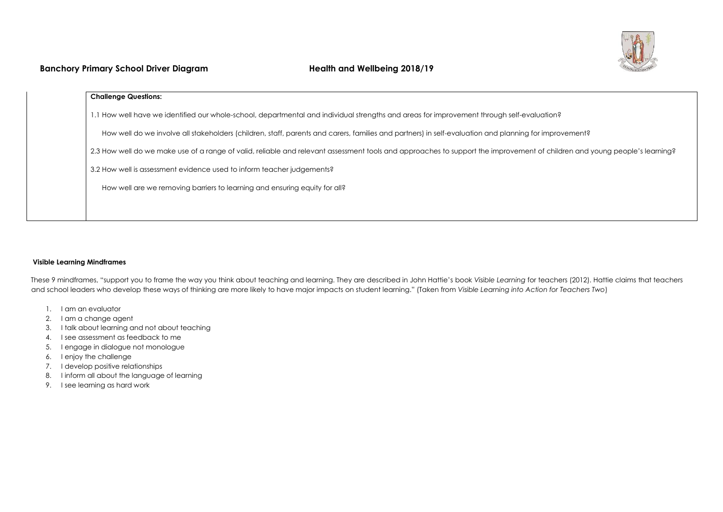

## **Banchory Primary School Driver Diagram Health and Wellbeing 2018/19**

| 1.1 How well have we identified our whole-school, departmental and individual strengths and areas for improvement through self-evaluation?<br>How well do we involve all stakeholders (children, staff, parents and carers, families and partners) in self-evaluation and planning for improvement? |  |
|-----------------------------------------------------------------------------------------------------------------------------------------------------------------------------------------------------------------------------------------------------------------------------------------------------|--|
|                                                                                                                                                                                                                                                                                                     |  |
|                                                                                                                                                                                                                                                                                                     |  |
| 2.3 How well do we make use of a range of valid, reliable and relevant assessment tools and approaches to support the improvement of children and young people's learning?                                                                                                                          |  |
| 3.2 How well is assessment evidence used to inform teacher judgements?                                                                                                                                                                                                                              |  |
| How well are we removing barriers to learning and ensuring equity for all?                                                                                                                                                                                                                          |  |

#### **Visible Learning Mindframes**

These 9 mindframes, "support you to frame the way you think about teaching and learning. They are described in John Hattie's book *Visible Learning* for teachers (2012). Hattie claims that teachers and school leaders who develop these ways of thinking are more likely to have major impacts on student learning." (Taken from *Visible Learning into Action for Teachers Two*)

- 1. I am an evaluator
- 2. I am a change agent
- 3. I talk about learning and not about teaching
- 4. I see assessment as feedback to me
- 5. I engage in dialogue not monologue
- 6. I enjoy the challenge
- 7. I develop positive relationships
- 8. I inform all about the language of learning
- 9. I see learning as hard work